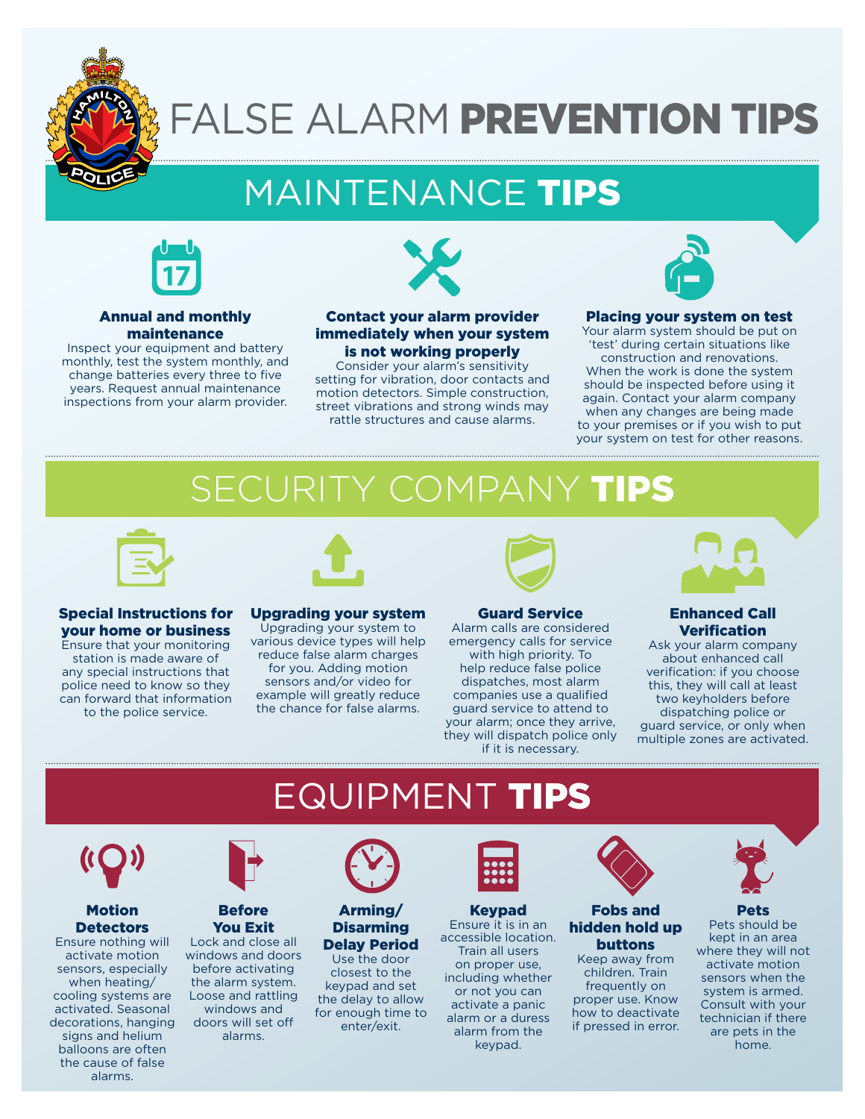

# FALSE ALARM PREVENTION TIPS

# MAINTENANCE TIPS



### Annual and monthly maintenance

Inspect your equipment and battery monthly, test the system monthly, and change batteries every three to five years. Request annual maintenance inspections from your alarm provider.



### Contact your alarm provider immediately when your system is not working properly

Consider your alarm's sensitivity setting for vibration, door contacts and motion detectors. Simple construction, street vibrations and strong winds may rattle structures and cause alarms.



#### Placing your system on test

Your alarm system should be put on 'test' during certain situations like construction and renovations. When the work is done the system should be inspected before using it again. Contact your alarm company when any changes are being made to your premises or if you wish to put your system on test for other reasons.

# SECURITY COMPANY



# Special Instructions for your home or business

Ensure that your monitoring station is made aware of any special instructions that police need to know so they can forward that information to the police service.



#### Upgrading your system

Upgrading your system to various device types will help reduce false alarm charges for you. Adding motion sensors and/or video for example will greatly reduce the chance for false alarms.



#### Guard Service

Alarm calls are considered emergency calls for service with high priority. To help reduce false police dispatches, most alarm companies use a qualified guard service to attend to your alarm; once they arrive, they will dispatch police only if it is necessary.



### Enhanced Call **Verification**

Ask your alarm company about enhanced call verification: if you choose this, they will call at least two keyholders before dispatching police or guard service, or only when multiple zones are activated.